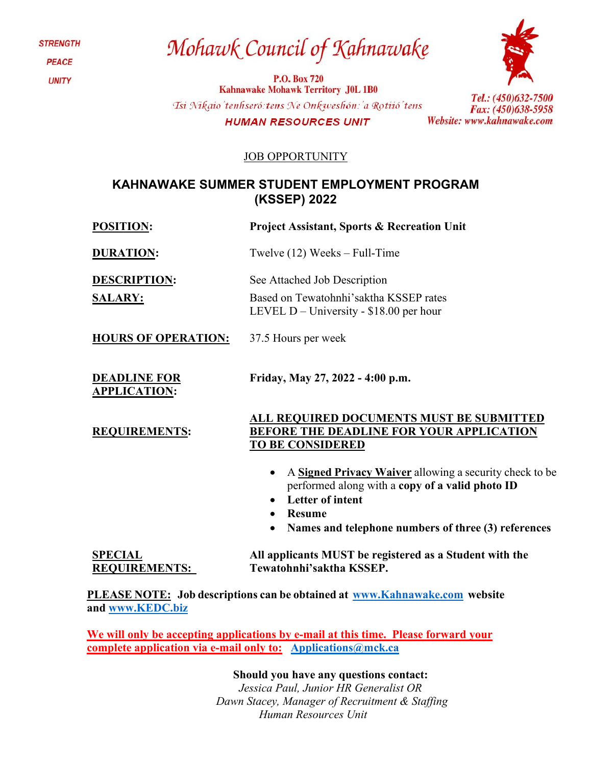**STRENGTH PEACE UNITY** 

# Mohawk Council of Kahnawake

**P.O. Box 720 Kahnawake Mohawk Territory J0L 1B0** Tsi Nikaio'tenhseró: tens Ne Onkweshón: 'a Rotiió'tens **HUMAN RESOURCES UNIT** 



Tel.: (450)632-7500 Fax: (450)638-5958 Website: www.kahnawake.com

### JOB OPPORTUNITY

### **KAHNAWAKE SUMMER STUDENT EMPLOYMENT PROGRAM (KSSEP) 2022**

**POSITION: Project Assistant, Sports & Recreation Unit**

**SALARY:** 

**REQUIREMENTS:**

**DURATION:** Twelve (12) Weeks – Full-Time

**DESCRIPTION:** See Attached Job Description

Based on Tewatohnhi'saktha KSSEP rates LEVEL D – University - \$18.00 per hour

**HOURS OF OPERATION:** 37.5 Hours per week

**DEADLINE FOR APPLICATION: Friday, May 27, 2022 - 4:00 p.m.**

> **ALL REQUIRED DOCUMENTS MUST BE SUBMITTED BEFORE THE DEADLINE FOR YOUR APPLICATION TO BE CONSIDERED**

- A **Signed Privacy Waiver** allowing a security check to be performed along with a **copy of a valid photo ID**
- **Letter of intent**
- **Resume**
- **Names and telephone numbers of three (3) references**

**SPECIAL REQUIREMENTS: All applicants MUST be registered as a Student with the Tewatohnhi'saktha KSSEP.**

**PLEASE NOTE: Job descriptions can be obtained at [www.Kahnawake.com](http://www.kahnawake.com/) website and [www.KEDC.biz](http://www.kedc.biz/)**

**We will only be accepting applications by e-mail at this time. Please forward your complete application via e-mail only to: [Applications@mck.ca](mailto:Applications@mck.ca)**

**Should you have any questions contact:**

*Jessica Paul, Junior HR Generalist OR Dawn Stacey, Manager of Recruitment & Staffing Human Resources Unit*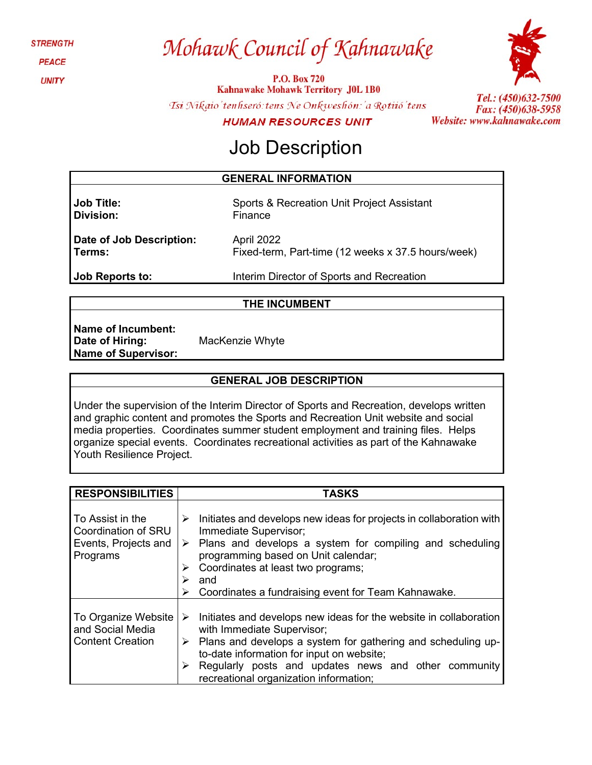**STRENGTH** 

**PEACE** 

**UNITY** 

# Mohawk Council of Kahnawake

**P.O. Box 720 Kahnawake Mohawk Territory J0L 1B0** 



Tsi Nikaio'tenhseró: tens Ne Onkweshón: 'a Rotiió' tens **HUMAN RESOURCES UNIT** 

Tel.: (450)632-7500 Fax: (450)638-5958 Website: www.kahnawake.com

## Job Description

### **GENERAL INFORMATION**

**Job Title: Division:**

Sports & Recreation Unit Project Assistant Finance

**Date of Job Description: Terms:**

April 2022 Fixed-term, Part-time (12 weeks x 37.5 hours/week)

**Job Reports to:**

Interim Director of Sports and Recreation

### **THE INCUMBENT**

**Name of Incumbent: Date of Hiring: Name of Supervisor:**

MacKenzie Whyte

## **GENERAL JOB DESCRIPTION**

Under the supervision of the Interim Director of Sports and Recreation, develops written and graphic content and promotes the Sports and Recreation Unit website and social media properties. Coordinates summer student employment and training files. Helps organize special events. Coordinates recreational activities as part of the Kahnawake Youth Resilience Project.

| <b>RESPONSIBILITIES</b>                                                     | <b>TASKS</b>                                                                                                                                                                                                                                                                                                                   |
|-----------------------------------------------------------------------------|--------------------------------------------------------------------------------------------------------------------------------------------------------------------------------------------------------------------------------------------------------------------------------------------------------------------------------|
| To Assist in the<br>Coordination of SRU<br>Events, Projects and<br>Programs | Initiates and develops new ideas for projects in collaboration with<br>➤<br>Immediate Supervisor;<br>$\triangleright$ Plans and develops a system for compiling and scheduling<br>programming based on Unit calendar;<br>Coordinates at least two programs;<br>⋗<br>and<br>Coordinates a fundraising event for Team Kahnawake. |
| To Organize Website<br>and Social Media<br><b>Content Creation</b>          | Initiates and develops new ideas for the website in collaboration<br>➤<br>with Immediate Supervisor;<br>Plans and develops a system for gathering and scheduling up-<br>➤<br>to-date information for input on website;<br>Regularly posts and updates news and other community<br>➤<br>recreational organization information;  |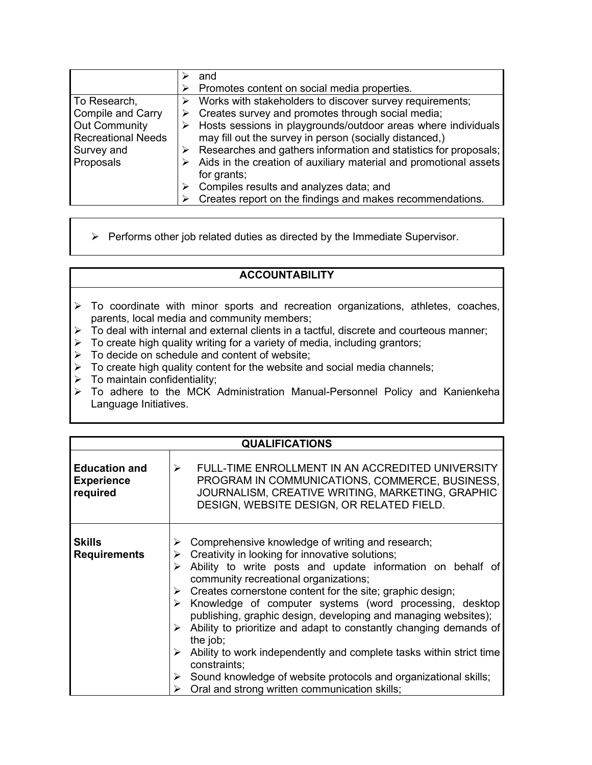|                           | and                                                               |
|---------------------------|-------------------------------------------------------------------|
|                           | Promotes content on social media properties.                      |
| To Research,              | Works with stakeholders to discover survey requirements;          |
| <b>Compile and Carry</b>  | Creates survey and promotes through social media;                 |
| Out Community             | Hosts sessions in playgrounds/outdoor areas where individuals     |
| <b>Recreational Needs</b> | may fill out the survey in person (socially distanced,)           |
| Survey and                | Researches and gathers information and statistics for proposals;  |
| Proposals                 | Aids in the creation of auxiliary material and promotional assets |
|                           | for grants;                                                       |
|                           | Compiles results and analyzes data; and                           |
|                           | Creates report on the findings and makes recommendations.         |

 $\triangleright$  Performs other job related duties as directed by the Immediate Supervisor.

### **ACCOUNTABILITY**

- > To coordinate with minor sports and recreation organizations, athletes, coaches, parents, local media and community members;
- $\triangleright$  To deal with internal and external clients in a tactful, discrete and courteous manner;
- $\triangleright$  To create high quality writing for a variety of media, including grantors;
- $\triangleright$  To decide on schedule and content of website;
- $\triangleright$  To create high quality content for the website and social media channels;
- $\triangleright$  To maintain confidentiality;
- To adhere to the MCK Administration Manual-Personnel Policy and Kanienkeha Language Initiatives.

| <b>QUALIFICATIONS</b>                                 |                                                                                                                                                                                                                                                                                                                                                                                                                                                                                                                                                                                                                                                                                                                                                 |  |  |  |
|-------------------------------------------------------|-------------------------------------------------------------------------------------------------------------------------------------------------------------------------------------------------------------------------------------------------------------------------------------------------------------------------------------------------------------------------------------------------------------------------------------------------------------------------------------------------------------------------------------------------------------------------------------------------------------------------------------------------------------------------------------------------------------------------------------------------|--|--|--|
| <b>Education and</b><br><b>Experience</b><br>required | FULL-TIME ENROLLMENT IN AN ACCREDITED UNIVERSITY<br>≻<br>PROGRAM IN COMMUNICATIONS, COMMERCE, BUSINESS,<br>JOURNALISM, CREATIVE WRITING, MARKETING, GRAPHIC<br>DESIGN, WEBSITE DESIGN, OR RELATED FIELD.                                                                                                                                                                                                                                                                                                                                                                                                                                                                                                                                        |  |  |  |
| <b>Skills</b><br><b>Requirements</b>                  | Comprehensive knowledge of writing and research;<br>➤<br>Creativity in looking for innovative solutions;<br>≻<br>Ability to write posts and update information on behalf of<br>community recreational organizations;<br>Creates cornerstone content for the site; graphic design;<br>➤<br>$\triangleright$ Knowledge of computer systems (word processing, desktop<br>publishing, graphic design, developing and managing websites);<br>Ability to prioritize and adapt to constantly changing demands of<br>➤<br>the job;<br>Ability to work independently and complete tasks within strict time<br>≻<br>constraints;<br>Sound knowledge of website protocols and organizational skills;<br>≻<br>Oral and strong written communication skills; |  |  |  |